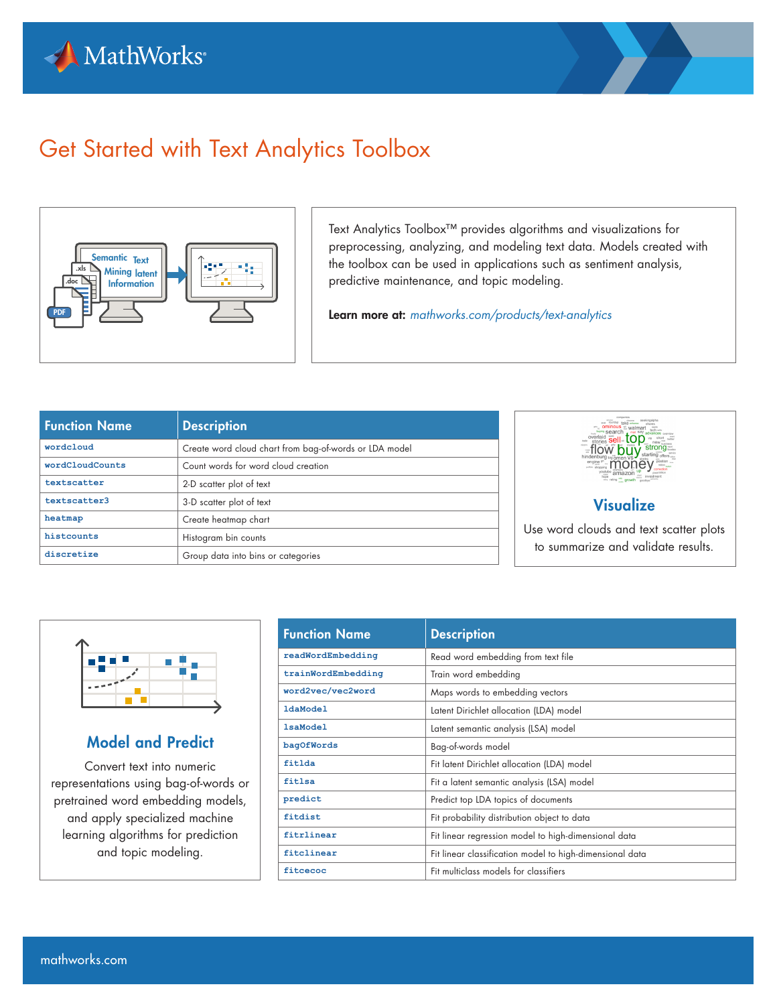



# Get Started with Text Analytics Toolbox



Text Analytics Toolbox™ provides algorithms and visualizations for preprocessing, analyzing, and modeling text data. Models created with the toolbox can be used in applications such as sentiment analysis, predictive maintenance, and topic modeling.

Learn more at: *[mathworks.com/products/text-analytics](http://www.mathworks.com/products/text-analytics)*

| <b>Function Name</b> | <b>Description</b>                                     |
|----------------------|--------------------------------------------------------|
| wordcloud            | Create word cloud chart from bag-of-words or LDA model |
| wordCloudCounts      | Count words for word cloud creation                    |
| textscatter          | 2-D scatter plot of text                               |
| textscatter3         | 3-D scatter plot of text                               |
| heatmap              | Create heatmap chart                                   |
| histcounts           | Histogram bin counts                                   |
| discretize           | Group data into bins or categories                     |



#### **Visualize**

Use word clouds and text scatter plots to summarize and validate results.



#### Model and Predict

Convert text into numeric representations using bag-of-words or pretrained word embedding models, and apply specialized machine learning algorithms for prediction and topic modeling.

| <b>Function Name</b> | <b>Description</b>                                       |
|----------------------|----------------------------------------------------------|
| readWordEmbedding    | Read word embedding from text file                       |
| trainWordEmbedding   | Train word embedding                                     |
| word2vec/vec2word    | Maps words to embedding vectors                          |
| <b>ldaModel</b>      | Latent Dirichlet allocation (LDA) model                  |
| <b>lsaModel</b>      | Latent semantic analysis (LSA) model                     |
| bagOfWords           | Bag-of-words model                                       |
| fitlda               | Fit latent Dirichlet allocation (LDA) model              |
| fitlsa               | Fit a latent semantic analysis (LSA) model               |
| predict              | Predict top LDA topics of documents                      |
| fitdist              | Fit probability distribution object to data              |
| fitrlinear           | Fit linear regression model to high-dimensional data     |
| fitclinear           | Fit linear classification model to high-dimensional data |
| fitcecoc             | Fit multiclass models for classifiers                    |